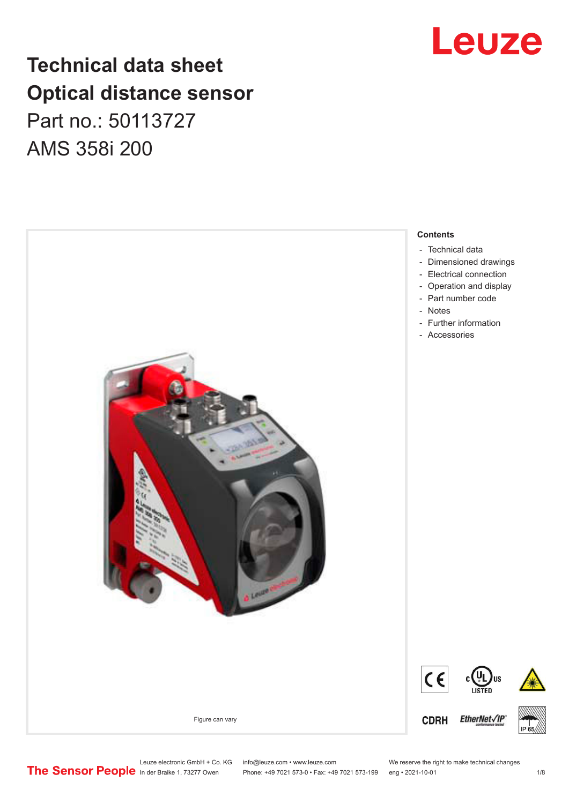# **Technical data sheet Optical distance sensor** Part no.: 50113727 AMS 358i 200



# Leuze

Leuze electronic GmbH + Co. KG info@leuze.com • www.leuze.com We reserve the right to make technical changes<br>
The Sensor People in der Braike 1, 73277 Owen Phone: +49 7021 573-0 • Fax: +49 7021 573-199 eng • 2021-10-01

Phone: +49 7021 573-0 • Fax: +49 7021 573-199 eng • 2021-10-01 1 2021

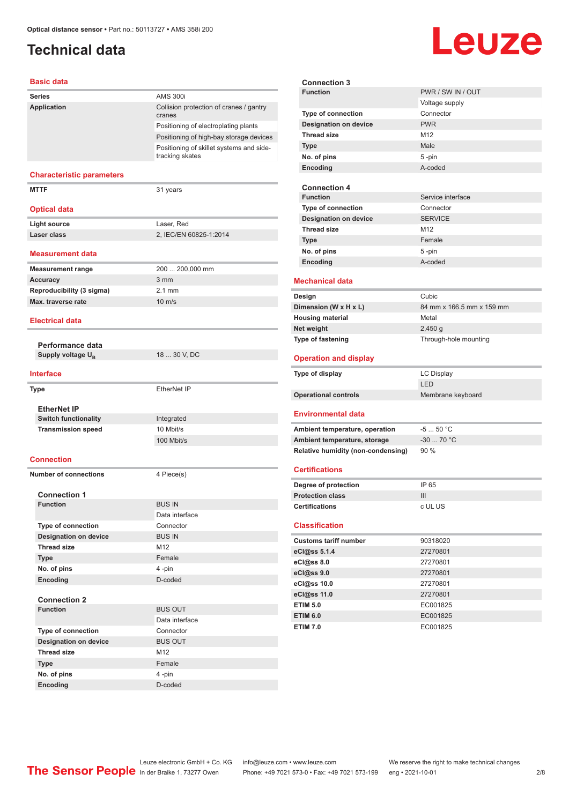# <span id="page-1-0"></span>**Technical data**

#### **Basic data**

| Series                           | <b>AMS 300i</b>                                             |
|----------------------------------|-------------------------------------------------------------|
| Application                      | Collision protection of cranes / gantry<br>cranes           |
|                                  | Positioning of electroplating plants                        |
|                                  | Positioning of high-bay storage devices                     |
|                                  | Positioning of skillet systems and side-<br>tracking skates |
| <b>Characteristic parameters</b> |                                                             |
| <b>MTTF</b>                      | 31 years                                                    |
| <b>Optical data</b>              |                                                             |
| <b>Light source</b>              | Laser, Red                                                  |
| Laser class                      | 2, IEC/EN 60825-1:2014                                      |
| <b>Measurement data</b>          |                                                             |
| <b>Measurement range</b>         | 200  200,000 mm                                             |
| <b>Accuracy</b>                  | 3 <sub>mm</sub>                                             |
| Reproducibility (3 sigma)        | $2.1 \text{ mm}$                                            |
| Max. traverse rate               | $10 \text{ m/s}$                                            |
| <b>Electrical data</b>           |                                                             |
| Performance data                 |                                                             |
| Supply voltage U <sub>B</sub>    | 18  30 V, DC                                                |
| <b>Interface</b>                 |                                                             |
| Type                             | EtherNet IP                                                 |
|                                  |                                                             |
| <b>EtherNet IP</b>               |                                                             |
| <b>Switch functionality</b>      | Integrated<br>10 Mbit/s                                     |
| <b>Transmission speed</b>        | 100 Mbit/s                                                  |
|                                  |                                                             |
| <b>Connection</b>                |                                                             |
| <b>Number of connections</b>     | 4 Piece(s)                                                  |
| <b>Connection 1</b>              |                                                             |
| <b>Function</b>                  | <b>BUS IN</b>                                               |
|                                  | Data interface                                              |
| <b>Type of connection</b>        | Connector                                                   |
| <b>Designation on device</b>     | <b>BUS IN</b>                                               |
| <b>Thread size</b>               | M12                                                         |
| <b>Type</b><br>No. of pins       | Female<br>4 -pin                                            |
| Encoding                         | D-coded                                                     |
|                                  |                                                             |
| <b>Connection 2</b>              |                                                             |
| <b>Function</b>                  | <b>BUS OUT</b>                                              |
|                                  | Data interface                                              |
| Type of connection               | Connector                                                   |
| <b>Designation on device</b>     | <b>BUS OUT</b>                                              |
| <b>Thread size</b>               | M12                                                         |
| <b>Type</b>                      | Female                                                      |
| No. of pins                      | 4-pin                                                       |
| <b>Encoding</b>                  | D-coded                                                     |

| euze              |
|-------------------|
| PWR / SW IN / OUT |
| Voltage supply    |
| Connector         |
| <b>PWR</b>        |
| M <sub>12</sub>   |
| Male              |
| 5-pin             |
| hehon-A           |

| Encoding                     | A-coded           |
|------------------------------|-------------------|
|                              |                   |
| <b>Connection 4</b>          |                   |
| <b>Function</b>              | Service interface |
| <b>Type of connection</b>    | Connector         |
| <b>Designation on device</b> | <b>SERVICE</b>    |
| <b>Thread size</b>           | M <sub>12</sub>   |
| <b>Type</b>                  | Female            |
| No. of pins                  | $5 - pin$         |
| Encoding                     | A-coded           |
|                              |                   |

#### **Mechanical data**

**Connection 3 Function** 

**Type of connection Designation on device** 

**Thread size Type No. of pins** 

| Cubic                     |
|---------------------------|
| 84 mm x 166.5 mm x 159 mm |
| Metal                     |
| $2,450$ q                 |
| Through-hole mounting     |
|                           |

#### **Operation and display**

| Type of display             | LC Display        |
|-----------------------------|-------------------|
|                             | <b>LED</b>        |
| <b>Operational controls</b> | Membrane keyboard |

#### **Environmental data**

| Ambient temperature, operation     | $-550 °C$  |
|------------------------------------|------------|
| Ambient temperature, storage       | $-3070 °C$ |
| Relative humidity (non-condensing) | $90\%$     |

#### **Certifications**

| Degree of protection    | IP 65   |
|-------------------------|---------|
| <b>Protection class</b> |         |
| <b>Certifications</b>   | c UL US |

#### **Classification**

| <b>Customs tariff number</b> | 90318020 |  |
|------------------------------|----------|--|
| eCl@ss 5.1.4                 | 27270801 |  |
| eCl@ss 8.0                   | 27270801 |  |
| eCl@ss 9.0                   | 27270801 |  |
| eCl@ss 10.0                  | 27270801 |  |
| eCl@ss 11.0                  | 27270801 |  |
| <b>ETIM 5.0</b>              | EC001825 |  |
| <b>ETIM 6.0</b>              | EC001825 |  |
| <b>ETIM 7.0</b>              | EC001825 |  |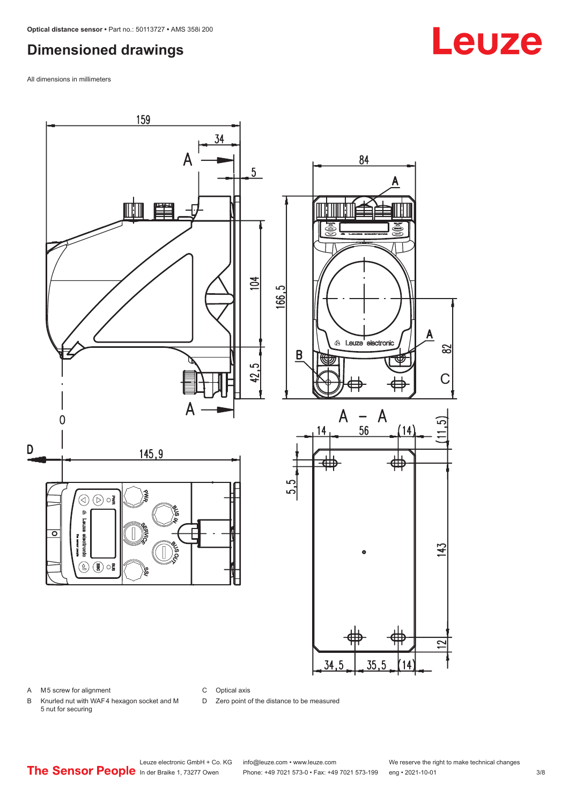## <span id="page-2-0"></span>**Dimensioned drawings**

All dimensions in millimeters



A M5 screw for alignment

C Optical axis

D Zero point of the distance to be measured

B Knurled nut with WAF 4 hexagon socket and M 5 nut for securing

# **Leuze**

Leuze electronic GmbH + Co. KG info@leuze.com • www.leuze.com We reserve the right to make technical changes<br>
The Sensor People in der Braike 1, 73277 Owen Phone: +49 7021 573-0 • Fax: +49 7021 573-199 eng • 2021-10-01

Phone: +49 7021 573-0 • Fax: +49 7021 573-199 eng • 2021-10-01 3/8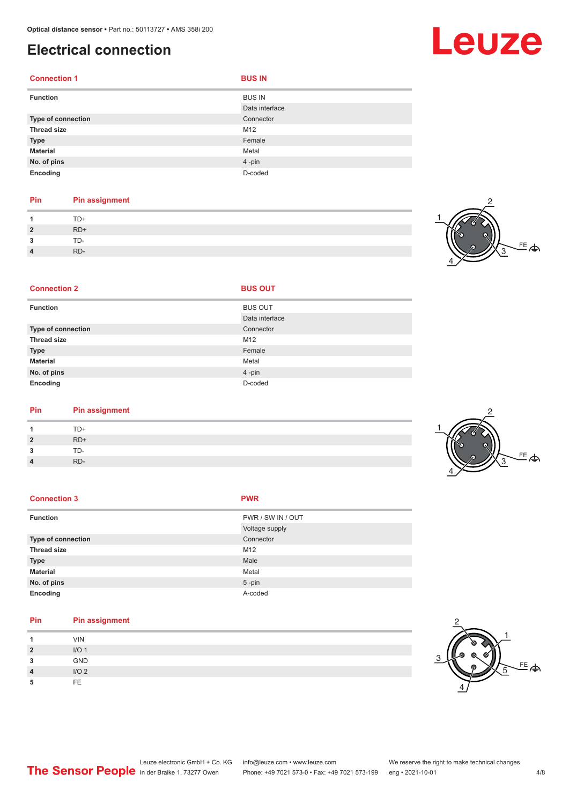# <span id="page-3-0"></span>**Electrical connection**

**2** RD+

| <b>Connection 1</b> | <b>BUS IN</b>                   |
|---------------------|---------------------------------|
| <b>Function</b>     | <b>BUS IN</b><br>Data interface |
| Type of connection  | Connector                       |
| <b>Thread size</b>  | M12                             |
| <b>Type</b>         | Female                          |
| <b>Material</b>     | Metal                           |
| No. of pins         | 4-pin                           |
| Encoding            | D-coded                         |

### **Pin Pin assignment** 1 TD+<br>2 RD+ **2** RD+ **3** TD-**4** RD-



| <b>Connection 2</b> | <b>BUS OUT</b> |
|---------------------|----------------|
| <b>Function</b>     | <b>BUS OUT</b> |
|                     | Data interface |
| Type of connection  | Connector      |
| <b>Thread size</b>  | M12            |
| <b>Type</b>         | Female         |
| <b>Material</b>     | Metal          |
| No. of pins         | 4-pin          |
| Encoding            | D-coded        |

| Pin            | Pin assignment |
|----------------|----------------|
| 1              | TD+            |
| $\overline{2}$ | $RD+$          |
| 3              | TD-            |
| 4              | RD-            |

### $FE$  $\Leftrightarrow$ 2 1 4 3

| <b>Connection 3</b> | <b>PWR</b>        |
|---------------------|-------------------|
| <b>Function</b>     | PWR / SW IN / OUT |
|                     | Voltage supply    |
| Type of connection  | Connector         |
| <b>Thread size</b>  | M12               |
| <b>Type</b>         | Male              |
| <b>Material</b>     | Metal             |
| No. of pins         | $5$ -pin          |
| Encoding            | A-coded           |

| Pin            | <b>Pin assignment</b> |
|----------------|-----------------------|
|                | <b>VIN</b>            |
| $\overline{2}$ | I/O <sub>1</sub>      |
| 3              | <b>GND</b>            |
| $\overline{4}$ | I/O <sub>2</sub>      |
| 5              | FE.                   |



# Leuze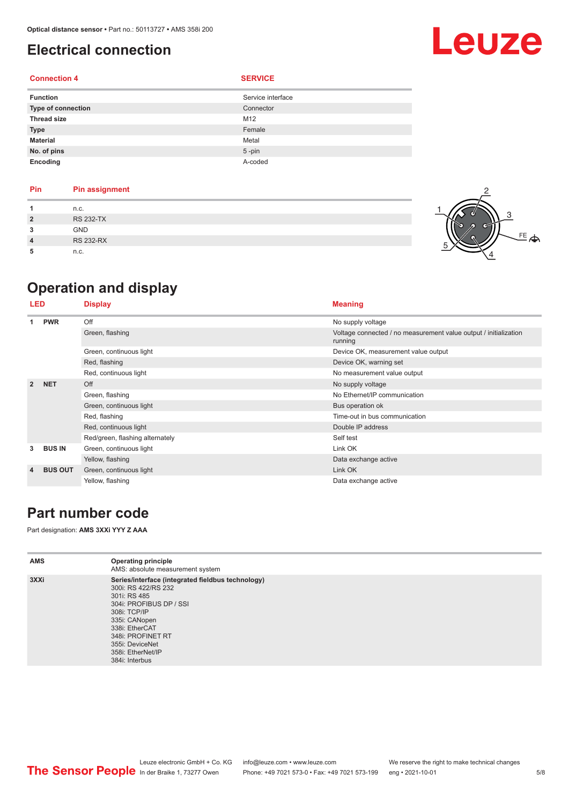# <span id="page-4-0"></span>**Electrical connection**

### **Connection 4 SERVICE**

| <b>Function</b>    | Service interface |
|--------------------|-------------------|
| Type of connection | Connector         |
| <b>Thread size</b> | M12               |
| <b>Type</b>        | Female            |
| <b>Material</b>    | Metal             |
| No. of pins        | $5 - pin$         |
| Encoding           | A-coded           |

| <b>Pin</b>     | <b>Pin assignment</b> |  |  |
|----------------|-----------------------|--|--|
|                | n.c.                  |  |  |
| $\overline{2}$ | <b>RS 232-TX</b>      |  |  |
| 3              | <b>GND</b>            |  |  |
|                | <b>RS 232-RX</b>      |  |  |
|                |                       |  |  |

**5** n.c.

# **Operation and display**

| LED            |                | <b>Display</b>                  | <b>Meaning</b>                                                              |  |
|----------------|----------------|---------------------------------|-----------------------------------------------------------------------------|--|
|                | <b>PWR</b>     | Off                             | No supply voltage                                                           |  |
|                |                | Green, flashing                 | Voltage connected / no measurement value output / initialization<br>running |  |
|                |                | Green, continuous light         | Device OK, measurement value output                                         |  |
|                |                | Red, flashing                   | Device OK, warning set                                                      |  |
|                |                | Red, continuous light           | No measurement value output                                                 |  |
| $\overline{2}$ | <b>NET</b>     | Off                             | No supply voltage                                                           |  |
|                |                | Green, flashing                 | No Ethernet/IP communication                                                |  |
|                |                | Green, continuous light         | Bus operation ok                                                            |  |
|                |                | Red, flashing                   | Time-out in bus communication                                               |  |
|                |                | Red, continuous light           | Double IP address                                                           |  |
|                |                | Red/green, flashing alternately | Self test                                                                   |  |
| 3              | <b>BUS IN</b>  | Green, continuous light         | Link OK                                                                     |  |
|                |                | Yellow, flashing                | Data exchange active                                                        |  |
| 4              | <b>BUS OUT</b> | Green, continuous light         | Link OK                                                                     |  |
|                |                | Yellow, flashing                | Data exchange active                                                        |  |

## **Part number code**

Part designation: **AMS 3XXi YYY Z AAA**

| <b>AMS</b> | <b>Operating principle</b><br>AMS: absolute measurement system                                                                                                                                                                                        |
|------------|-------------------------------------------------------------------------------------------------------------------------------------------------------------------------------------------------------------------------------------------------------|
| 3XXi       | Series/interface (integrated fieldbus technology)<br>300i: RS 422/RS 232<br>301i: RS 485<br>304i: PROFIBUS DP / SSI<br>308i: TCP/IP<br>335i: CANopen<br>338i: EtherCAT<br>348i: PROFINET RT<br>355i: DeviceNet<br>358i: EtherNet/IP<br>384i: Interbus |



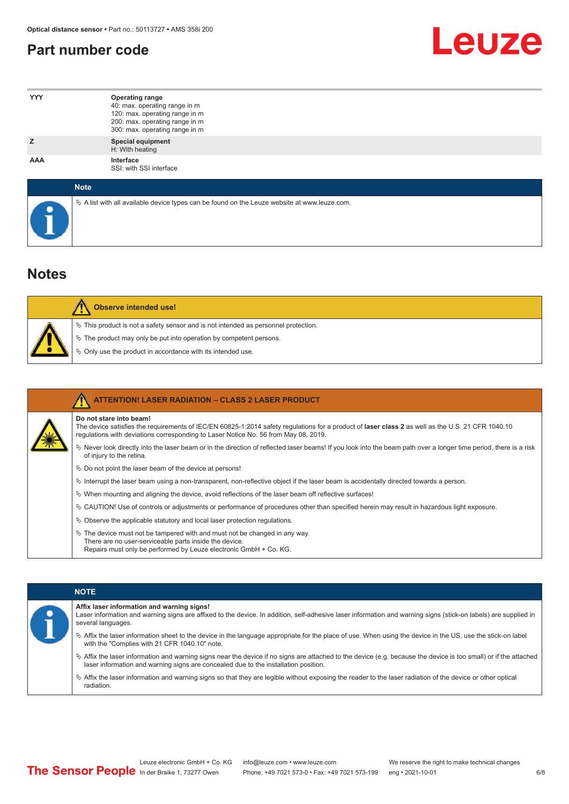## <span id="page-5-0"></span>**Part number code**



| <b>YYY</b>  | <b>Operating range</b><br>40: max. operating range in m<br>120: max. operating range in m<br>200: max. operating range in m<br>300: max. operating range in m |
|-------------|---------------------------------------------------------------------------------------------------------------------------------------------------------------|
| z           | <b>Special equipment</b><br>H: With heating                                                                                                                   |
| AAA         | Interface<br>SSI: with SSI interface                                                                                                                          |
| <b>Note</b> |                                                                                                                                                               |

| <b>Note</b>                                                                                     |
|-------------------------------------------------------------------------------------------------|
| $\&$ A list with all available device types can be found on the Leuze website at www.leuze.com. |

## **Notes**

| Observe intended use!                                                                                                                                                                                                            |
|----------------------------------------------------------------------------------------------------------------------------------------------------------------------------------------------------------------------------------|
| $\%$ This product is not a safety sensor and is not intended as personnel protection.<br>$\%$ The product may only be put into operation by competent persons.<br>$\%$ Only use the product in accordance with its intended use. |

|  | <b>ATTENTION! LASER RADIATION - CLASS 2 LASER PRODUCT</b>                                                                                                                                                                                                           |
|--|---------------------------------------------------------------------------------------------------------------------------------------------------------------------------------------------------------------------------------------------------------------------|
|  | Do not stare into beam!<br>The device satisfies the requirements of IEC/EN 60825-1:2014 safety requiations for a product of laser class 2 as well as the U.S. 21 CFR 1040.10<br>requlations with deviations corresponding to Laser Notice No. 56 from May 08, 2019. |
|  | Vertal once the laser beam or in the direction of reflected laser beams! If you look into the beam path over a longer time period, there is a risk<br>of injury to the retina.                                                                                      |
|  | $\&$ Do not point the laser beam of the device at persons!                                                                                                                                                                                                          |
|  | $\%$ Interrupt the laser beam using a non-transparent, non-reflective object if the laser beam is accidentally directed towards a person.                                                                                                                           |
|  | $\%$ When mounting and aligning the device, avoid reflections of the laser beam off reflective surfaces!                                                                                                                                                            |
|  | © CAUTION! Use of controls or adjustments or performance of procedures other than specified herein may result in hazardous light exposure.                                                                                                                          |
|  | $\&$ Observe the applicable statutory and local laser protection regulations.                                                                                                                                                                                       |
|  | $\%$ The device must not be tampered with and must not be changed in any way.<br>There are no user-serviceable parts inside the device.<br>Repairs must only be performed by Leuze electronic GmbH + Co. KG.                                                        |

### **Affix laser information and warning signs!**

| Laser information and warning signs are affixed to the device. In addition, self-adhesive laser information and warning signs (stick-on labels) are supplied in |
|-----------------------------------------------------------------------------------------------------------------------------------------------------------------|
| several languages.                                                                                                                                              |

ª Affix the laser information sheet to the device in the language appropriate for the place of use. When using the device in the US, use the stick-on label with the "Complies with 21 CFR 1040.10" note.

- ª Affix the laser information and warning signs near the device if no signs are attached to the device (e.g. because the device is too small) or if the attached laser information and warning signs are concealed due to the installation position.
- ª Affix the laser information and warning signs so that they are legible without exposing the reader to the laser radiation of the device or other optical radiation.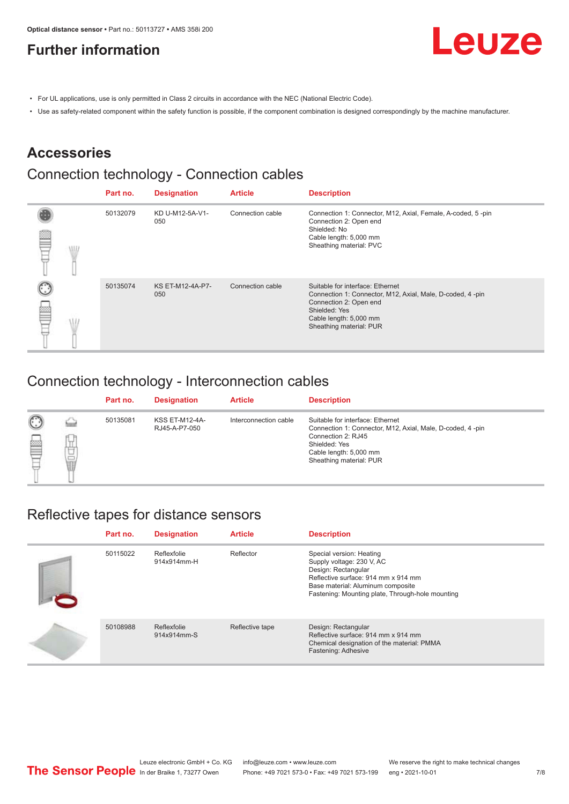# <span id="page-6-0"></span>**Further information**



- For UL applications, use is only permitted in Class 2 circuits in accordance with the NEC (National Electric Code).
- Use as safety-related component within the safety function is possible, if the component combination is designed correspondingly by the machine manufacturer.

## **Accessories**

# Connection technology - Connection cables

|      | Part no. | <b>Designation</b>             | <b>Article</b>   | <b>Description</b>                                                                                                                                                                            |
|------|----------|--------------------------------|------------------|-----------------------------------------------------------------------------------------------------------------------------------------------------------------------------------------------|
| VII. | 50132079 | KD U-M12-5A-V1-<br>050         | Connection cable | Connection 1: Connector, M12, Axial, Female, A-coded, 5-pin<br>Connection 2: Open end<br>Shielded: No<br>Cable length: 5,000 mm<br>Sheathing material: PVC                                    |
|      | 50135074 | <b>KS ET-M12-4A-P7-</b><br>050 | Connection cable | Suitable for interface: Ethernet<br>Connection 1: Connector, M12, Axial, Male, D-coded, 4-pin<br>Connection 2: Open end<br>Shielded: Yes<br>Cable length: 5,000 mm<br>Sheathing material: PUR |

## Connection technology - Interconnection cables

|                   |             | Part no. | <b>Designation</b>                     | <b>Article</b>        | <b>Description</b>                                                                                                                                                                        |
|-------------------|-------------|----------|----------------------------------------|-----------------------|-------------------------------------------------------------------------------------------------------------------------------------------------------------------------------------------|
| $\mathbb{C}$<br>≝ | щ<br>⊔<br>Ī | 50135081 | <b>KSS ET-M12-4A-</b><br>RJ45-A-P7-050 | Interconnection cable | Suitable for interface: Ethernet<br>Connection 1: Connector, M12, Axial, Male, D-coded, 4-pin<br>Connection 2: RJ45<br>Shielded: Yes<br>Cable length: 5,000 mm<br>Sheathing material: PUR |

## Reflective tapes for distance sensors

| Part no. | <b>Designation</b>         | <b>Article</b>  | <b>Description</b>                                                                                                                                                                                           |
|----------|----------------------------|-----------------|--------------------------------------------------------------------------------------------------------------------------------------------------------------------------------------------------------------|
| 50115022 | Reflexfolie<br>914x914mm-H | Reflector       | Special version: Heating<br>Supply voltage: 230 V, AC<br>Design: Rectangular<br>Reflective surface: 914 mm x 914 mm<br>Base material: Aluminum composite<br>Fastening: Mounting plate, Through-hole mounting |
| 50108988 | Reflexfolie<br>914x914mm-S | Reflective tape | Design: Rectangular<br>Reflective surface: 914 mm x 914 mm<br>Chemical designation of the material: PMMA<br>Fastening: Adhesive                                                                              |